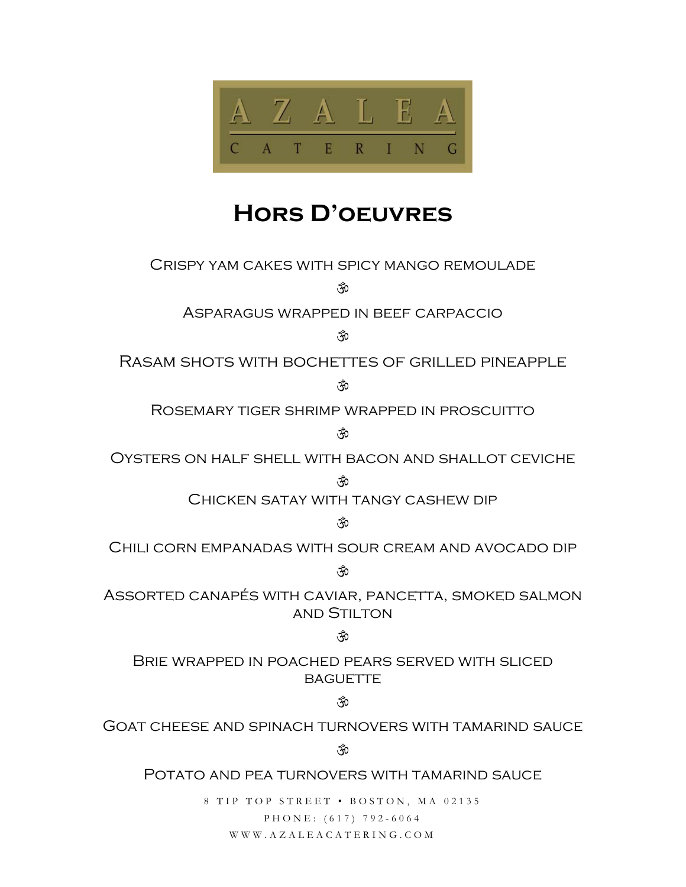

# **Hors D'oeuvres**

Crispy yam cakes with spicy mango remoulade

ŠÕ

Asparagus wrapped in beef carpaccio

े के

Rasam shots with bochettes of grilled pineapple

ŠÕ

Rosemary tiger shrimp wrapped in proscuitto

े के

Oysters on half shell with bacon and shallot ceviche

 $\mathfrak{F}$ 

Chicken satay with tangy cashew dip

Ř

Chili corn empanadas with sour cream and avocado dip

ŠÕ

Assorted canapés with caviar, pancetta, smoked salmon and Stilton

## े के

Brie wrapped in poached pears served with sliced **BAGUETTE** 

## े के

Goat cheese and spinach turnovers with tamarind sauce

ॉ0

POTATO AND PEA TURNOVERS WITH TAMARIND SAUCE

8 TIP TOP STREET • BOSTON, MA 02135 PHONE: (617) 792-6064 WWW.AZALEACATERING.COM